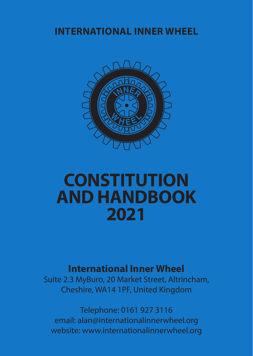# **INTERNATIONAL INNER WHEEL**



# **CONSTITUTION AND HANDBOOK 2021**

# **International Inner Wheel**

Suite 2.3 MyBuro, 20 Market Street, Altrincham, Cheshire, WA14 1PF, United Kingdom

Telephone: 0161 927 3116 email: alan@internationalinnerwheel.org website: www.internationalinnerwheel.org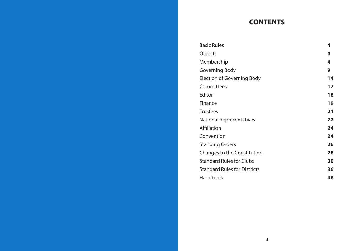# **CONTENTS**

| <b>Basic Rules</b>                  | 4  |
|-------------------------------------|----|
| Objects                             | 4  |
| Membership                          | 4  |
| Governing Body                      | 9  |
| Election of Governing Body          | 14 |
| Committees                          | 17 |
| Editor                              | 18 |
| Finance                             | 19 |
| <b>Trustees</b>                     | 21 |
| National Representatives            | 22 |
| Affiliation                         | 24 |
| Convention                          | 24 |
| <b>Standing Orders</b>              | 26 |
| Changes to the Constitution         | 28 |
| <b>Standard Rules for Clubs</b>     | 30 |
| <b>Standard Rules for Districts</b> | 36 |
| Handbook                            | 46 |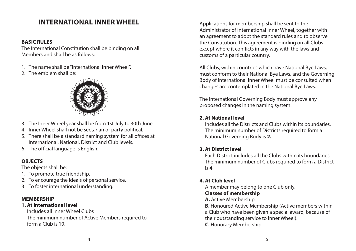# **INTERNATIONAL INNER WHEEL**

#### **BASIC RULES**

The International Constitution shall be binding on all Members and shall be as follows:

- 1. The name shall be "International Inner Wheel".
- 2. The emblem shall be:



- 3. The Inner Wheel year shall be from 1st July to 30th June
- 4. Inner Wheel shall not be sectarian or party political.
- 5. There shall be a standard naming system for all offices at International, National, District and Club levels.
- 6. The official language is English.

#### **OBJECTS**

The objects shall be:

- 1. To promote true friendship.
- 2. To encourage the ideals of personal service.
- 3. To foster international understanding.

#### **MEMBERSHIP**

#### **1. At International level**

Includes all Inner Wheel Clubs The minimum number of Active Members required to form a Club is 10.

Applications for membership shall be sent to the Administrator of International Inner Wheel, together with an agreement to adopt the standard rules and to observe the Constitution. This agreement is binding on all Clubs except where it conflicts in any way with the laws and customs of a particular country.

All Clubs, within countries which have National Bye Laws, must conform to their National Bye Laws, and the Governing Body of International Inner Wheel must be consulted when changes are contemplated in the National Bye Laws.

The International Governing Body must approve any proposed changes in the naming system.

#### **2. At National level**

Includes all the Districts and Clubs within its boundaries. The minimum number of Districts required to form a National Governing Body is **2.**

#### **3. At District level**

Each District includes all the Clubs within its boundaries. The minimum number of Clubs required to form a District is **4**.

#### **4. At Club level**

A member may belong to one Club only. **Classes of membership** 

**A.** Active Membership

**B.** Honoured Active Membership (Active members within a Club who have been given a special award, because of their outstanding service to Inner Wheel). **C.** Honorary Membership.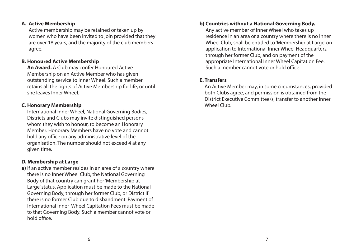#### **A. Active Membership**

Active membership may be retained or taken up by women who have been invited to join provided that they are over 18 years, and the majority of the club members agree.

#### **B. Honoured Active Membership**

**An Award.** A Club may confer Honoured Active Membership on an Active Member who has given outstanding service to Inner Wheel. Such a member retains all the rights of Active Membership for life, or until she leaves Inner Wheel.

#### **C. Honorary Membership**

International Inner Wheel, National Governing Bodies, Districts and Clubs may invite distinguished persons whom they wish to honour, to become an Honorary Member. Honorary Members have no vote and cannot hold any office on any administrative level of the organisation. The number should not exceed 4 at any given time.

#### **D. Membership at Large**

**a)** If an active member resides in an area of a country where there is no Inner Wheel Club, the National Governing Body of that country can grant her 'Membership at Large' status. Application must be made to the National Governing Body, through her former Club, or District if there is no former Club due to disbandment. Payment of International Inner Wheel Capitation Fees must be made to that Governing Body. Such a member cannot vote or hold office.

# **b) Countries without a National Governing Body.**

Any active member of Inner Wheel who takes up residence in an area or a country where there is no Inner Wheel Club, shall be entitled to 'Membership at Large' on application to International Inner Wheel Headquarters, through her former Club, and on payment of the appropriate International Inner Wheel Capitation Fee. Such a member cannot vote or hold office.

#### **E. Transfers**

An Active Member may, in some circumstances, provided both Clubs agree, and permission is obtained from the District Executive Committee/s, transfer to another Inner Wheel Club.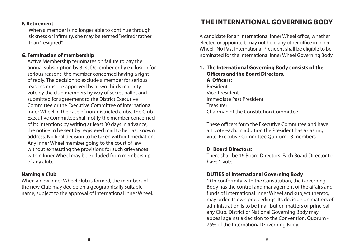#### **F. Retirement**

 When a member is no longer able to continue through sickness or infirmity, she may be termed "retired" rather than "resigned".

#### **G. Termination of membership**

Active Membership terminates on failure to pay the annual subscription by 31st December or by exclusion for serious reasons, the member concerned having a right of reply. The decision to exclude a member for serious reasons must be approved by a two thirds majority vote by the club members by way of secret ballot and submitted for agreement to the District Executive Committee or the Executive Committee of International Inner Wheel in the case of non-districted clubs. The Club Executive Committee shall notify the member concerned of its intentions by writing at least 30 days in advance, the notice to be sent by registered mail to her last known address. No final decision to be taken without mediation. Any Inner Wheel member going to the court of law without exhausting the provisions for such grievances within Inner Wheel may be excluded from membership of any club.

### **Naming a Club**

When a new Inner Wheel club is formed, the members of the new Club may decide on a geographically suitable name, subject to the approval of International Inner Wheel.

# **THE INTERNATIONAL GOVERNING BODY**

A candidate for an International Inner Wheel office, whether elected or appointed, may not hold any other office in Inner Wheel. No Past International President shall be eligible to be nominated for the International Inner Wheel Governing Body.

# **1. The International Governing Body consists of the Officers and the Board Directors. A Officers:** President Vice-President

Immediate Past President Treasurer Chairman of the Constitution Committee.

These officers form the Executive Committee and have a 1 vote each. In addition the President has a casting vote. Executive Committee Quorum - 3 members.

# **B Board Directors:**

 There shall be 16 Board Directors. Each Board Director to have 1 vote.

# **DUTIES of International Governing Body**

1) In conformity with the Constitution, the Governing Body has the control and management of the affairs and funds of International Inner Wheel and subject thereto, may order its own proceedings. Its decision on matters of administration is to be final, but on matters of principal any Club, District or National Governing Body may appeal against a decision to the Convention. Quorum - 75% of the International Governing Body.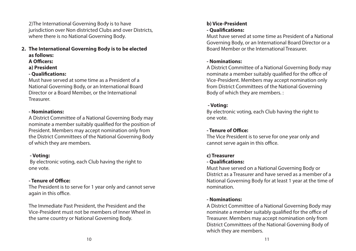2)The International Governing Body is to have jurisdiction over Non districted Clubs and over Districts, where there is no National Governing Body.

- **2. The International Governing Body is to be elected as follows:** 
	- **A Officers:**
	- **a) President**

### **- Qualifications:**

 Must have served at some time as a President of a National Governing Body, or an International Board Director or a Board Member, or the International Treasurer.

#### **- Nominations:**

A District Committee of a National Governing Body may nominate a member suitably qualified for the position of President. Members may accept nomination only from the District Committees of the National Governing Body of which they are members.

# **- Voting:**

By electronic voting, each Club having the right to one vote.

# **- Tenure of Office:**

The President is to serve for 1 year only and cannot serve again in this office.

 The Immediate Past President, the President and the Vice-President must not be members of Inner Wheel in the same country or National Governing Body.

# **b) Vice-President - Qualifications:**

Must have served at some time as President of a National Governing Body, or an International Board Director or a Board Member or the International Treasurer.

# **- Nominations:**

 A District Committee of a National Governing Body may nominate a member suitably qualified for the office of Vice-President. Members may accept nomination only from District Committees of the National Governing Body of which they are members. :

# **- Voting:**

 By electronic voting, each Club having the right to one vote.

# **- Tenure of Office:**

The Vice President is to serve for one year only and cannot serve again in this office.

# **c) Treasurer**

# **- Qualifications:**

 Must have served on a National Governing Body or District as a Treasurer and have served as a member of a National Governing Body for at least 1 year at the time of nomination.

# **- Nominations:**

 A District Committee of a National Governing Body may nominate a member suitably qualified for the office of Treasurer. Members may accept nomination only from District Committees of the National Governing Body of which they are members.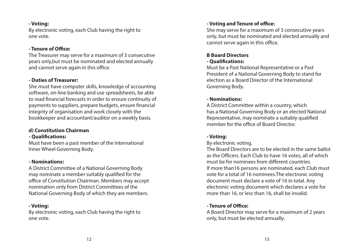#### **- Voting:**

By electronic voting, each Club having the right to one vote.

#### **- Tenure of Office:**

The Treasurer may serve for a maximum of 3 consecutive years only,but must be nominated and elected annually and cannot serve again in this office.

#### **- Duties of Treasurer:**

She must have computer skills, knowledge of accounting software, on-line banking and use spreadsheets, be able to read financial forecasts in order to ensure continuity of payments to suppliers, prepare budgets, ensure financial integrity of organisation and work closely with the bookkeeper and accountant/auditor on a weekly basis.

#### **d) Constitution Chairman - Qualifications:**

Must have been a past member of the International Inner Wheel Governing Body.

### **- Nominations:**

 A District Committee of a National Governing Body may nominate a member suitably qualified for the office of Constitution Chairman. Members may accept nomination only from District Committees of the National Governing Body of which they are members.

# **- Voting:**

By electronic voting, each Club having the right to one vote.

# **- Voting and Tenure of office:**

 She may serve for a maximum of 3 consecutive years only, but must be nominated and elected annually and cannot serve again in this office.

### **B Board Directors - Qualifications:**

Must be a Past National Representative or a Past President of a National Governing Body to stand for election as a Board Director of the International Governing Body.

### **- Nominations:**

A District Committee within a country, which has a National Governing Body or an elected National Representative, may nominate a suitably qualified member for the office of Board Director.

# **- Voting:**

### By electronic voting.

The Board Directors are to be elected in the same ballot as the Officers. Each Club to have 16 votes, all of which must be for nominees from different countries. If more than16 persons are nominated, each Club must vote for a total of 16 nominees.The electronic voting document must declare a vote of 16 in total. Any electronic voting document which declares a vote for more than 16, or less than 16, shall be invalid.

# **- Tenure of Office:**

A Board Director may serve for a maximum of 2 years only, but must be elected annually.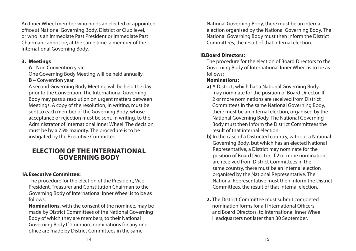An Inner Wheel member who holds an elected or appointed office at National Governing Body, District or Club level, or who is an Immediate Past President or Immediate Past Chairman cannot be, at the same time, a member of the International Governing Body.

#### **3. Meetings**

**A** - Non Convention year:

One Governing Body Meeting will be held annually.

**B** – Convention year.

 A second Governing Body Meeting will be held the day prior to the Convention. The International Governing Body may pass a resolution on urgent matters between Meetings. A copy of the resolution, in writing, must be sent to each member of the Governing Body, whose acceptance or rejection must be sent, in writing, to the Administrator of International Inner Wheel. The decision must be by a 75% majority. The procedure is to be instigated by the Executive Committee.

# **ELECTION OF THE INTERNATIONAL GOVERNING BODY**

# **1A. Executive Committee:**

 The procedure for the election of the President, Vice President, Treasurer and Constitution Chairman to the Governing Body of International Inner Wheel is to be as follows:

 **Nominations,** with the consent of the nominee, may be made by District Committees of the National Governing Body of which they are members, to their National Governing Body.If 2 or more nominations for any one office are made by District Committees in the same

National Governing Body, there must be an internal election organised by the National Governing Body. The National Governing Body must then inform the District Committees, the result of that internal election.

# **1B. Board Directors:**

The procedure for the election of Board Directors to the Governing Body of International Inner Wheel is to be as follows:

# **Nominations:**

- **a)** A District, which has a National Governing Body, may nominate for the position of Board Director. If 2 or more nominations are received from District Committees in the same National Governing Body, there must be an internal election, organised by the National Governing Body. The National Governing Body must then inform the District Committees the result of that internal election.
- **b**) In the case of a Districted country, without a National Governing Body, but which has an elected National Representative, a District may nominate for the position of Board Director. If 2 or more nominations are received from District Committees in the same country, there must be an internal election organised by the National Representative. The National Representative must then inform the District Committees, the result of that internal election.
- **2.** The District Committee must submit completed nomination forms for all International Officers and Board Directors, to International Inner Wheel Headquarters not later than 30 September.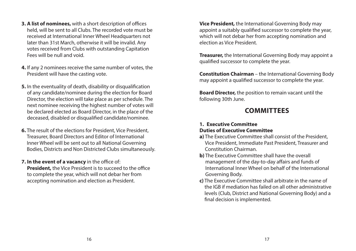- **3. A list of nominees,** with a short description of offices held, will be sent to all Clubs. The recorded vote must be received at International Inner Wheel Headquarters not later than 31st March, otherwise it will be invalid. Any votes received from Clubs with outstanding Capitation Fees will be null and void.
- **4.** If any 2 nominees receive the same number of votes, the President will have the casting vote.
- **5.** In the eventuality of death, disability or disqualification of any candidate/nominee during the election for Board Director, the election will take place as per schedule. The next nominee receiving the highest number of votes will be declared elected as Board Director, in the place of the deceased, disabled or disqualified candidate/nominee.
- **6.** The result of the elections for President, Vice President, Treasurer, Board Directors and Editor of International Inner Wheel will be sent out to all National Governing Bodies, Districts and Non Districted Clubs simultaneously.
- **7. In the event of a vacancy** in the office of: **President,** the Vice President is to succeed to the office to complete the year, which will not debar her from accepting nomination and election as President.

**Vice President,** the International Governing Body may appoint a suitably qualified successor to complete the year, which will not debar her from accepting nomination and election as Vice President.

**Treasurer,** the International Governing Body may appoint a qualified successor to complete the year.

**Constitution Chairman** – the International Governing Body may appoint a qualified successor to complete the year.

**Board Director,** the position to remain vacant until the following 30th June.

# **COMMITTEES**

#### **1. Executive Committee Duties of Executive Committee**

- **a)** The Executive Committee shall consist of the President, Vice President, Immediate Past President, Treasurer and Constitution Chairman.
- **b)** The Executive Committee shall have the overall management of the day-to-day affairs and funds of International Inner Wheel on behalf of the International Governing Body.
- **c)** The Executive Committee shall arbitrate in the name of the IGB if mediation has failed on all other administrative levels (Club, District and National Governing Body) and a final decision is implemented.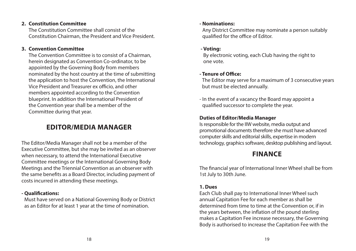#### **2. Constitution Committee**

The Constitution Committee shall consist of the Constitution Chairman, the President and Vice President.

#### **3. Convention Committee**

The Convention Committee is to consist of a Chairman, herein designated as Convention Co-ordinator, to be appointed by the Governing Body from members nominated by the host country at the time of submitting the application to host the Convention, the International Vice President and Treasurer ex officio, and other members appointed according to the Convention blueprint. In addition the International President of the Convention year shall be a member of the Committee during that year.

# **EDITOR/MEDIA MANAGER**

The Editor/Media Manager shall not be a member of the Executive Committee, but she may be invited as an observer when necessary, to attend the International Executive Committee meetings or the International Governing Body Meetings and the Triennial Convention as an observer with the same benefits as a Board Director, including payment of costs incurred in attending these meetings.

# **- Qualifications:**

Must have served on a National Governing Body or District as an Editor for at least 1 year at the time of nomination.

#### **- Nominations:**

Any District Committee may nominate a person suitably qualified for the office of Editor.

#### **- Voting:**

By electronic voting, each Club having the right to one vote.

# **- Tenure of Office:**

The Editor may serve for a maximum of 3 consecutive years but must be elected annually.

- In the event of a vacancy the Board may appoint a qualified successor to complete the year.

# **Duties of Editor/Media Manager**

Is responsible for the IIW website, media output and promotional documents therefore she must have advanced computer skills and editorial skills, expertise in modern technology, graphics software, desktop publishing and layout.

# **FINANCE**

The financial year of International Inner Wheel shall be from 1st July to 30th June.

# **1. Dues**

Each Club shall pay to International Inner Wheel such annual Capitation Fee for each member as shall be determined from time to time at the Convention or, if in the years between, the inflation of the pound sterling makes a Capitation Fee increase necessary, the Governing Body is authorised to increase the Capitation Fee with the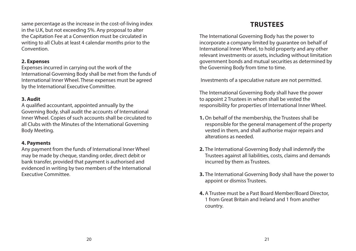same percentage as the increase in the cost-of-living index in the U.K, but not exceeding 5%. Any proposal to alter the Capitation Fee at a Convention must be circulated in writing to all Clubs at least 4 calendar months prior to the Convention.

#### **2. Expenses**

Expenses incurred in carrying out the work of the International Governing Body shall be met from the funds of International Inner Wheel. These expenses must be agreed by the International Executive Committee.

# **3. Audit**

A qualified accountant, appointed annually by the Governing Body, shall audit the accounts of International Inner Wheel. Copies of such accounts shall be circulated to all Clubs with the Minutes of the International Governing Body Meeting.

# **4. Payments**

Any payment from the funds of International Inner Wheel may be made by cheque, standing order, direct debit or bank transfer, provided that payment is authorised and evidenced in writing by two members of the International Executive Committee.

# **TRUSTEES**

The International Governing Body has the power to incorporate a company limited by guarantee on behalf of International Inner Wheel, to hold property and any other relevant investments or assets, including without limitation government bonds and mutual securities as determined by the Governing Body from time to time.

Investments of a speculative nature are not permitted.

The International Governing Body shall have the power to appoint 2 Trustees in whom shall be vested the responsibility for properties of International Inner Wheel.

- **1.** On behalf of the membership, the Trustees shall be responsible for the general management of the property vested in them, and shall authorise major repairs and alterations as needed.
- **2.** The International Governing Body shall indemnify the Trustees against all liabilities, costs, claims and demands incurred by them as Trustees.
- **3.** The International Governing Body shall have the power to appoint or dismiss Trustees.
- **4.** A Trustee must be a Past Board Member/Board Director, 1 from Great Britain and Ireland and 1 from another country.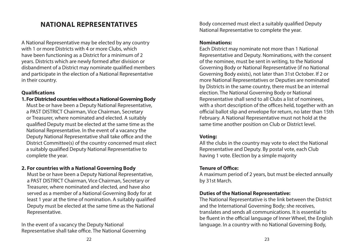# **NATIONAL REPRESENTATIVES**

A National Representative may be elected by any country with 1 or more Districts with 4 or more Clubs, which have been functioning as a District for a minimum of 2 years. Districts which are newly formed after division or disbandment of a District may nominate qualified members and participate in the election of a National Representative in their country.

# **Qualifications**

**1. For Districted countries without a National Governing Body** Must be or have been a Deputy National Representative, a PAST DISTRICT Chairman, Vice Chairman, Secretary or Treasurer, where nominated and elected. A suitably qualified Deputy must be elected at the same time as the National Representative. In the event of a vacancy the Deputy National Representative shall take office and the District Committee(s) of the country concerned must elect a suitably qualified Deputy National Representative to complete the year.

# **2. For countries with a National Governing Body**

Must be or have been a Deputy National Representative, a PAST DISTRICT Chairman, Vice Chairman, Secretary or Treasurer, where nominated and elected, and have also served as a member of a National Governing Body for at least 1 year at the time of nomination. A suitably qualified Deputy must be elected at the same time as the National Representative.

In the event of a vacancy the Deputy National Representative shall take office. The National Governing Body concerned must elect a suitably qualified Deputy National Representative to complete the year.

# **Nominations:**

Each District may nominate not more than 1 National Representative and Deputy. Nominations, with the consent of the nominee, must be sent in writing, to the National Governing Body or National Representative (if no National Governing Body exists), not later than 31st October. If 2 or more National Representatives or Deputies are nominated by Districts in the same country, there must be an internal election. The National Governing Body or National Representative shall send to all Clubs a list of nominees, with a short description of the offices held, together with an official ballot slip and envelope for return, no later than 15th February. A National Representative must not hold at the same time another position on Club or District level.

# **Voting:**

All the clubs in the country may vote to elect the National Representative and Deputy. By postal vote, each Club having 1 vote. Election by a simple majority

# **Tenure of Office:**

A maximum period of 2 years, but must be elected annually by 31st March.

# **Duties of the National Representative:**

The National Representative is the link between the District and the International Governing Body; she receives, translates and sends all communications. It is essential to be fluent in the official language of Inner Wheel, the English language. In a country with no National Governing Body,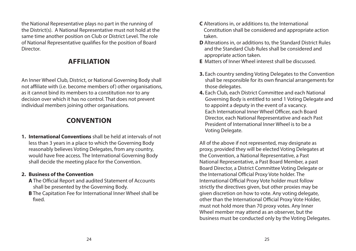the National Representative plays no part in the running of the District(s). A National Representative must not hold at the same time another position on Club or District Level. The role of National Representative qualifies for the position of Board **Director** 

# **AFFILIATION**

An Inner Wheel Club, District, or National Governing Body shall not affiliate with (i.e. become members of) other organisations, as it cannot bind its members to a constitution nor to any decision over which it has no control. That does not prevent individual members joining other organisations.

# **CONVENTION**

**1. International Conventions** shall be held at intervals of not less than 3 years in a place to which the Governing Body reasonably believes Voting Delegates, from any country, would have free access. The International Governing Body shall decide the meeting place for the Convention.

# **2. Business of the Convention**

- **A** The Official Report and audited Statement of Accounts shall be presented by the Governing Body.
- **B** The Capitation Fee for International Inner Wheel shall be fixed.
- **C** Alterations in, or additions to, the International Constitution shall be considered and appropriate action taken.
- **D** Alterations in, or additions to, the Standard District Rules and the Standard Club Rules shall be considered and appropriate action taken.
- **E** Matters of Inner Wheel interest shall be discussed.
- **3.** Each country sending Voting Delegates to the Convention shall be responsible for its own financial arrangements for those delegates.
- **4.** Each Club, each District Committee and each National Governing Body is entitled to send 1 Voting Delegate and to appoint a deputy in the event of a vacancy. Each International Inner Wheel Officer, each Board Director, each National Representative and each Past President of International Inner Wheel is to be a Voting Delegate.

All of the above if not represented, may designate as proxy, provided they will be elected Voting Delegates at the Convention, a National Representative, a Past National Representative, a Past Board Member, a past Board Director, a District Committee Voting Delegate or the International Official Proxy Vote holder. The International Official Proxy Vote holder must follow strictly the directives given, but other proxies may be given discretion on how to vote. Any voting delegate, other than the International Official Proxy Vote Holder, must not hold more than 70 proxy votes. Any Inner Wheel member may attend as an observer, but the business must be conducted only by the Voting Delegates.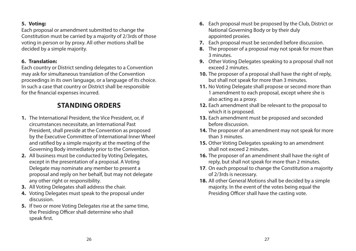#### **5. Voting:**

Each proposal or amendment submitted to change the Constitution must be carried by a majority of 2/3rds of those voting in person or by proxy. All other motions shall be decided by a simple majority.

# **6. Translation:**

Each country or District sending delegates to a Convention may ask for simultaneous translation of the Convention proceedings in its own language, or a language of its choice. In such a case that country or District shall be responsible for the financial expenses incurred.

# **STANDING ORDERS**

- **1.** The International President, the Vice President, or, if circumstances necessitate, an International Past President, shall preside at the Convention as proposed by the Executive Committee of International Inner Wheel and ratified by a simple majority at the meeting of the Governing Body immediately prior to the Convention.
- **2.** All business must be conducted by Voting Delegates, except in the presentation of a proposal. A Voting Delegate may nominate any member to present a proposal and reply on her behalf, but may not delegate any other right or responsibility.
- **3.** All Voting Delegates shall address the chair.
- **4.** Voting Delegates must speak to the proposal under discussion.
- **5.** If two or more Voting Delegates rise at the same time, the Presiding Officer shall determine who shall speak first.
- **6.** Each proposal must be proposed by the Club, District or National Governing Body or by their duly appointed proxies.
- **7.** Each proposal must be seconded before discussion.
- **8.** The proposer of a proposal may not speak for more than 3 minutes.
- **9.** Other Voting Delegates speaking to a proposal shall not exceed 2 minutes.
- **10.** The proposer of a proposal shall have the right of reply, but shall not speak for more than 3 minutes.
- **11.** No Voting Delegate shall propose or second more than 1 amendment to each proposal, except where she is also acting as a proxy.
- **12.** Each amendment shall be relevant to the proposal to which it is proposed.
- **13.** Each amendment must be proposed and seconded before discussion.
- **14.** The proposer of an amendment may not speak for more than 3 minutes.
- **15.** Other Voting Delegates speaking to an amendment shall not exceed 2 minutes.
- **16.** The proposer of an amendment shall have the right of reply, but shall not speak for more than 2 minutes.
- **17**. On each proposal to change the Constitution a majority of 2/3rds is necessary.
- **18.** All other General Motions shall be decided by a simple majority. In the event of the votes being equal the Presiding Officer shall have the casting vote.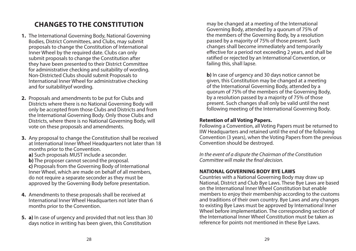# **CHANGES TO THE CONSTITUTION**

- **1.** The International Governing Body, National Governing Bodies, District Committees, and Clubs, may submit proposals to change the Constitution of International Inner Wheel by the required date. Clubs can only submit proposals to change the Constitution after they have been presented to their District Committee for administrative checking and suitability of wording. Non-Districted Clubs should submit Proposals to International Inner Wheel for administrative checking and for suitabilityof wording.
- **2.** Proposals and amendments to be put for Clubs and Districts where there is no National Governing Body will only be accepted from those Clubs and Districts and from the International Governing Body. Only those Clubs and Districts, where there is no National Governing Body, will vote on these proposals and amendments.
- **3.** Any proposal to change the Constitution shall be received at International Inner Wheel Headquarters not later than 18 months prior to the Convention.

**a)** Such proposals MUST include a seconder.

**b)** The proposer cannot second the proposal.

 **c)** Proposals from the Governing Body of International Inner Wheel, which are made on behalf of all members, do not require a separate seconder as they must be approved by the Governing Body before presentation.

- **4.** Amendments to these proposals shall be received at International Inner Wheel Headquarters not later than 6 months prior to the Convention.
- **5. a)** In case of urgency and provided that not less than 30 days notice in writing has been given, this Constitution

may be changed at a meeting of the International Governing Body, attended by a quorum of 75% of the members of the Governing Body, by a resolution passed by a majority of 75% of those present. Such changes shall become immediately and temporarily effective for a period not exceeding 2 years, and shall be ratified or rejected by an International Convention, or failing this, shall lapse.

**b)** In case of urgency and 30 days notice cannot be given, this Constitution may be changed at a meeting of the International Governing Body, attended by a quorum of 75% of the members of the Governing Body, by a resolution passed by a majority of 75% of those present. Such changes shall only be valid until the next following meeting of the International Governing Body.

#### **Retention of all Voting Papers.**

Following a Convention, all Voting Papers must be returned to IIW Headquarters and retained until the end of the following Convention (3 years), when the Voting Papers from the previous Convention should be destroyed.

*In the event of a dispute the Chairman of the Constitution Committee will make the final decision.*

### **NATIONAL GOVERNING BODY BYE LAWS**

Countries with a National Governing Body may draw up National, District and Club Bye Laws. These Bye Laws are based on the International Inner Wheel Constitution but enable members to enjoy their membership according to the customs and traditions of their own country. Bye Laws and any changes to existing Bye Laws must be approved by International Inner Wheel before implementation. The corresponding section of the International Inner Wheel Constitution must be taken as reference for points not mentioned in these Bye Laws.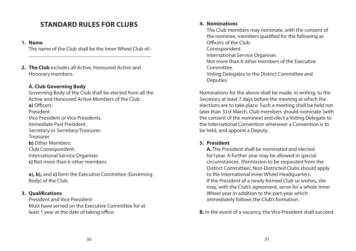# **STANDARD RULES FOR CLUBS**

#### **1. Name**

The name of the Club shall be the Inner Wheel Club of:-

**2. The Club** includes all Active, Honoured Active and Honorary members.

# **A. Club Governing Body**

Governing Body of the Club shall be elected from all the Active and Honoured Active Members of the Club. **a)** Officers: President. Vice President or Vice Presidents. Immediate Past President. Secretary or Secretary/Treasurer. Treasurer. **b)** Other Members: Club Correspondent. International Service Organiser. **c)** Not more than 6 other members.

 **a), b),** and **c)** form the Executive Committee (Governing Body) of the Club.

# **3. Qualifications**

President and Vice President: Must have served on the Executive Committee for at least 1 year at the date of taking office.

#### **4. Nominations**

The Club members may nominate, with the consent of the nominee, members qualified for the following as Officers of the Club: Correspondent. International Service Organiser. Not more than 6 other members of the Executive Committee. Voting Delegates to the District Committee and Deputies.

Nominations for the above shall be made, in writing, to the Secretary at least 7 days before the meeting at which the elections are to take place. Such a meeting shall be held not later than 31st March. Club members should nominate (with the consent of the nominee) and elect a Voting Delegate to the International Convention whenever a Convention is to be held, and appoint a Deputy.

### **5. President**

 **A.** The President shall be nominated and elected for1year. A further year may be allowed in special circumstances. (Permission to be requested from the District Committee). Non-Districted Clubs should apply to the International Inner Wheel Headquarters. If the President of a newly formed Club so wishes, she may, with the Club's agreement, serve for a whole Inner Wheel year in addition to the part-year which immediately follows the Club's formation.

**B.** In the event of a vacancy, the Vice President shall succeed.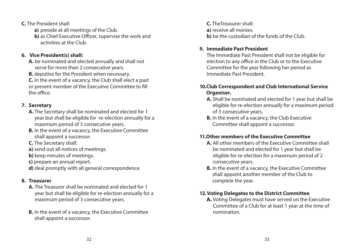**C.** The President shall:

- **a)** preside at all meetings of the Club.
- **b)** as Chief Executive Officer, supervise the work and activities at the Club.

# **6. Vice President(s) shall:**

- **A.** be nominated and elected annually and shall not serve for more than 2 consecutive years.
- **B.** deputise for the President when necessary.

**C.** In the event of a vacancy, the Club shall elect a past or present member of the Executive Committee to fill the office.

# **7. Secretary**

- **A.** The Secretary shall be nominated and elected for 1 year but shall be eligible for re-election annually for a maximum period of 3 consecutive years.
- **B.** In the event of a vacancy, the Executive Committee shall appoint a successor.
- **C.** The Secretary shall:
- **a)** send out all notices of meetings.
- **b)** keep minutes of meetings.
- **c)** prepare an annual report.
- **d)** deal promptly with all general correspondence.

# **8. Treasurer**

- **A.** The Treasurer shall be nominated and elected for 1 year but shall be eligible for re-election annually for a maximum period of 3 consecutive years.
- **B.** In the event of a vacancy, the Executive Committee shall appoint a successor.

**C.** TheTreasurer shall: **a)** receive all monies. **b**) be the custodian of the funds of the Club.

# **9. Immediate Past President**

The Immediate Past President shall not be eligible for election to any office in the Club or to the Executive Committee for the year following her period as Immediate Past President.

# **10. Club Correspondent and Club International Service Organiser.**

- **A.** Shall be nominated and elected for 1 year but shall be eligible for re-election annually for a maximum period of 3 consecutive years.
- **B.** In the event of a vacancy, the Club Executive Committee shall appoint a successor.

# **11. Other members of the Executive Committee**

- **A.** All other members of the Executive Committee shall be nominated and elected for 1 year but shall be eligible for re-election for a maximum period of 2 consecutive years.
- **B.** In the event of a vacancy, the Executive Committee shall appoint another member of the Club to complete the year.

# **12.Voting Delegates to the District Committee**

A. Voting Delegates must have served on the Executive Committee of a Club for at least 1 year at the time of nomination.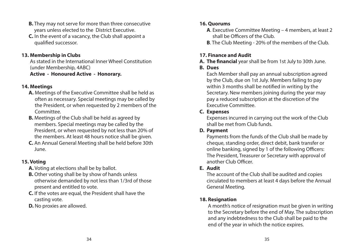- **B.** They may not serve for more than three consecutive years unless elected to the District Executive.
- **C.** In the event of a vacancy, the Club shall appoint a qualified successor.

### **13. Membership in Clubs**

As stated in the International Inner Wheel Constitution (under Membership, 4ABC)

**Active - Honoured Active - Honorary.**

# **14. Meetings**

- **A.** Meetings of the Executive Committee shall be held as often as necessary. Special meetings may be called by the President, or when requested by 2 members of the Committee.
- **B.** Meetings of the Club shall be held as agreed by members. Special meetings may be called by the President, or when requested by not less than 20% of the members. At least 48 hours notice shall be given.
- **C.** An Annual General Meeting shall be held before 30th June.

# **15. Voting**

- **A.** Voting at elections shall be by ballot.
- **B.** Other voting shall be by show of hands unless otherwise demanded by not less than 1/3rd of those present and entitled to vote.
- **C.** If the votes are equal, the President shall have the casting vote.
- **D.** No proxies are allowed.

# **16. Quorums**

- **A**. Executive Committee Meeting 4 members, at least 2 shall be Officers of the Club.
- **B**. The Club Meeting 20% of the members of the Club.

# **17. Finance and Audit**

**A. The financial** year shall be from 1st July to 30th June.

# **B. Dues**

Each Member shall pay an annual subscription agreed by the Club, due on 1st July. Members failing to pay within 3 months shall be notified in writing by the Secretary. New members joining during the year may pay a reduced subscription at the discretion of the Executive Committee.

# **C. Expenses**

Expenses incurred in carrying out the work of the Club shall be met from Club funds.

# **D. Payment**

Payments from the funds of the Club shall be made by cheque, standing order, direct debit, bank transfer or online banking, signed by 1 of the following Officers: The President, Treasurer or Secretary with approval of another Club Officer.

# **E. Audit**

The account of the Club shall be audited and copies circulated to members at least 4 days before the Annual General Meeting.

# **18. Resignation**

A month's notice of resignation must be given in writing to the Secretary before the end of May. The subscription and any indebtedness to the Club shall be paid to the end of the year in which the notice expires.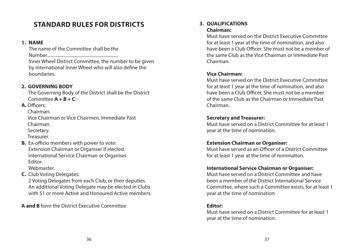# **STANDARD RULES FOR DISTRICTS**

#### **1. NAME**

 The name of the Committee shall be the Number................................................................ Inner Wheel District Committee, the number to be given by International Inner Wheel who will also define the boundaries.

# **2. GOVERNING BODY**

The Governing Body of the District shall be the District Committee **A + B + C**:-

**A.** Officers:

Chairman.

Vice Chairman or Vice Chairmen, Immediate Past Chairman.

Secretary.

Treasurer.

**B.** Ex-officio members with power to vote: Extension Chairman or Organiser if elected. International Service Chairman or Organiser. Editor.

Webmaster.

**C.** Club Voting Delegates:

2 Voting Delegates from each Club, or their deputies. An additional Voting Delegate may be elected in Clubs with 51 or more Active and Honoured Active members.

**A and B** form the District Executive Committee

#### **3. QUALIFICATIONS Chairman:**

Must have served on the District Executive Committee for at least 1 year at the time of nomination, and also have been a Club Officer. She must not be a member of the same Club as the Vice Chairman or Immediate Past Chairman.

# **Vice Chairman:**

Must have served on the District Executive Committee for at least 1 year at the time of nomination, and also have been a Club Officer. She must not be a member of the same Club as the Chairman or Immediate Past Chairman.

# **Secretary and Treasurer:**

Must have served on a District Committee for at least 1 year at the time of nomination.

# **Extension Chairman or Organiser:**

Must have served as an Officer of a District Committee for at least 1 year at the time of nomination.

# **International Service Chairman or Organiser:**

Must have served on a District Committee and have been a member of the District International Service Committee, where such a Committee exists, for at least 1 year at the time of nomination.

# **Editor:**

Must have served on a District Committee for at least 1 year at the time of nomination.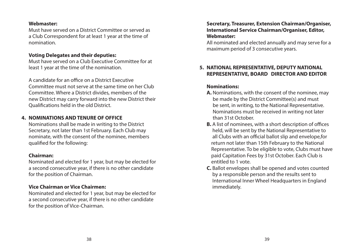#### **Webmaster:**

Must have served on a District Committee or served as a Club Correspondent for at least 1 year at the time of nomination.

#### **Voting Delegates and their deputies:**

Must have served on a Club Executive Committee for at least 1 year at the time of the nomination.

 A candidate for an office on a District Executive Committee must not serve at the same time on her Club Committee. Where a District divides, members of the new District may carry forward into the new District their Qualifications held in the old District.

#### **4. NOMINATIONS AND TENURE OF OFFICE**

Nominations shall be made in writing to the District Secretary, not later than 1st February. Each Club may nominate, with the consent of the nominee, members qualified for the following:

#### **Chairman:**

Nominated and elected for 1 year, but may be elected for a second consecutive year, if there is no other candidate for the position of Chairman.

### **Vice Chairman or Vice Chairmen:**

Nominated and elected for 1 year, but may be elected for a second consecutive year, if there is no other candidate for the position of Vice-Chairman.

#### **Secretary, Treasurer, Extension Chairman/Organiser, International Service Chairman/Organiser, Editor, Webmaster:**

 All nominated and elected annually and may serve for a maximum period of 3 consecutive years.

# **5. NATIONAL REPRESENTATIVE, DEPUTY NATIONAL REPRESENTATIVE, BOARD DIRECTOR AND EDITOR**

#### **Nominations:**

- **A.** Nominations, with the consent of the nominee, may be made by the District Committee(s) and must be sent, in writing, to the National Representative. Nominations must be received in writing not later than 31st October.
- **B.** A list of nominees, with a short description of offices held, will be sent by the National Representative to all Clubs with an official ballot slip and envelope,for return not later than 15th February to the National Representative. To be eligible to vote, Clubs must have paid Capitation Fees by 31st October. Each Club is entitled to 1 vote.
- **C.** Ballot envelopes shall be opened and votes counted by a responsible person and the results sent to International Inner Wheel Headquarters in England immediately.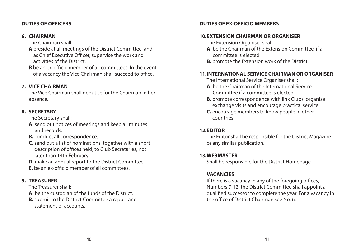#### **DUTIES OF OFFICERS**

#### **6. CHAIRMAN**

The Chairman shall:

- **A** preside at all meetings of the District Committee, and as Chief Executive Officer, supervise the work and activities of the District.
- **B** be an ex-officio member of all committees. In the event of a vacancy the Vice Chairman shall succeed to office.

### **7. VICE CHAIRMAN**

The Vice Chairman shall deputise for the Chairman in her absence.

#### **8. SECRETARY**

The Secretary shall:

- **A.** send out notices of meetings and keep all minutes and records.
- **B.** conduct all correspondence.
- **C.** send out a list of nominations, together with a short description of offices held, to Club Secretaries, not later than 14th February.
- **D.** make an annual report to the District Committee.
- **E.** be an ex-officio member of all committees.

### **9. TREASURER**

The Treasurer shall:

- **A.** be the custodian of the funds of the District.
- **B.** submit to the District Committee a report and statement of accounts.

#### **DUTIES OF EX-OFFICIO MEMBERS**

### **10. EXTENSION CHAIRMAN OR ORGANISER**

- The Extension Organiser shall:
- **A.** be the Chairman of the Extension Committee, if a committee is elected.
- **B.** promote the Extension work of the District.

# **11. INTERNATIONAL SERVICE CHAIRMAN OR ORGANISER**

The International Service Organiser shall:

- **A.** be the Chairman of the International Service Committee if a committee is elected.
- **B.** promote correspondence with link Clubs, organise exchange visits and encourage practical service.
- **C.** encourage members to know people in other countries.

# **12. EDITOR**

The Editor shall be responsible for the District Magazine or any similar publication.

### **13. WEBMASTER**

Shall be responsible for the District Homepage

# **VACANCIES**

 If there is a vacancy in any of the foregoing offices, Numbers 7-12, the District Committee shall appoint a qualified successor to complete the year. For a vacancy in the office of District Chairman see No. 6.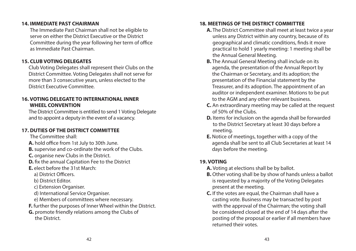#### **14. IMMEDIATE PAST CHAIRMAN**

The Immediate Past Chairman shall not be eligible to serve on either the District Executive or the District Committee during the year following her term of office as Immediate Past Chairman.

# **15. CLUB VOTING DELEGATES**

 Club Voting Delegates shall represent their Clubs on the District Committee. Voting Delegates shall not serve for more than 3 consecutive years, unless elected to the District Executive Committee.

# **16. VOTING DELEGATE TO INTERNATIONAL INNER WHEEL CONVENTION**

 The District Committee is entitled to send 1 Voting Delegate and to appoint a deputy in the event of a vacancy.

# **17. DUTIES OF THE DISTRICT COMMITTEE**

The Committee shall:

- **A.** hold office from 1st July to 30th June.
- **B.** supervise and co-ordinate the work of the Clubs.
- **C.** organise new Clubs in the District.
- **D.** fix the annual Capitation Fee to the District
- **E.** elect before the 31st March:
	- a) District Officers.
	- b) District Editor.
	- c) Extension Organiser.
	- d) International Service Organiser.
	- e) Members of committees where necessary.
- **F.** further the purposes of Inner Wheel within the District.
- **G.** promote friendly relations among the Clubs of the District.

# **18. MEETINGS OF THE DISTRICT COMMITTEE**

- **A.** The District Committee shall meet at least twice a year unless any District within any country, because of its geographical and climatic conditions, finds it more practical to hold 1 yearly meeting: 1 meeting shall be the Annual General Meeting.
- **B.** The Annual General Meeting shall include on its agenda, the presentation of the Annual Report by the Chairman or Secretary, and its adoption; the presentation of the Financial statement by the Treasurer, and its adoption. The appointment of an auditor or independent examiner. Motions to be put to the AGM and any other relevant business.
- **C.** An extraordinary meeting may be called at the request of 50% of the Clubs.
- **D.** Items for inclusion on the agenda shall be forwarded to the District Secretary at least 30 days before a meeting.
- **E.** Notice of meetings, together with a copy of the agenda shall be sent to all Club Secretaries at least 14 days before the meeting.

# **19. VOTING**

- **A.** Voting at elections shall be by ballot.
- **B.** Other voting shall be by show of hands unless a ballot is requested by a majority of the Voting Delegates present at the meeting.
- **C.** If the votes are equal, the Chairman shall have a casting vote. Business may be transacted by post with the approval of the Chairman; the voting shall be considered closed at the end of 14 days after the posting of the proposal or earlier if all members have returned their votes.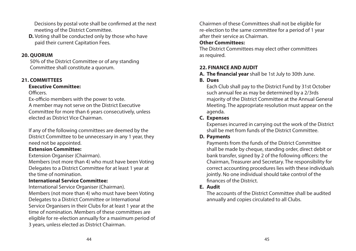Decisions by postal vote shall be confirmed at the next meeting of the District Committee.

**D.** Voting shall be conducted only by those who have paid their current Capitation Fees.

#### **20. QUORUM**

50% of the District Committee or of any standing Committee shall constitute a quorum.

### **21. COMMITTEES**

#### **Executive Committee:**

Officers.

Ex-officio members with the power to vote. A member may not serve on the District Executive Committee for more than 6 years consecutively, unless elected as District Vice Chairman.

 If any of the following committees are deemed by the District Committee to be unnecessary in any 1 year, they need not be appointed.

# **Extension Committee:**

Extension Organiser (Chairman).

Members (not more than 4) who must have been Voting Delegates to a District Committee for at least 1 year at the time of nomination.

# **International Service Committee:**

International Service Organiser (Chairman). Members (not more than 4) who must have been Voting Delegates to a District Committee or International Service Organisers in their Clubs for at least 1 year at the time of nomination. Members of these committees are eligible for re-election annually for a maximum period of 3 years, unless elected as District Chairman.

Chairmen of these Committees shall not be eligible for re-election to the same committee for a period of 1 year after their service as Chairman.

# **Other Committees:**

The District Committees may elect other committees as required.

# **22. FINANCE AND AUDIT**

- **A. The financial year** shall be 1st July to 30th June.
- **B. Dues**

Each Club shall pay to the District Fund by 31st October such annual fee as may be determined by a 2/3rds majority of the District Committee at the Annual General Meeting. The appropriate resolution must appear on the agenda.

# **C. Expenses**

Expenses incurred in carrying out the work of the District shall be met from funds of the District Committee.

# **D. Payments**

Payments from the funds of the District Committee shall be made by cheque, standing order, direct debit or bank transfer, signed by 2 of the following officers: the Chairman, Treasurer and Secretary. The responsibility for correct accounting procedures lies with these individuals jointly. No one individual should take control of the finances of the District.

# **E. Audit**

The accounts of the District Committee shall be audited annually and copies circulated to all Clubs.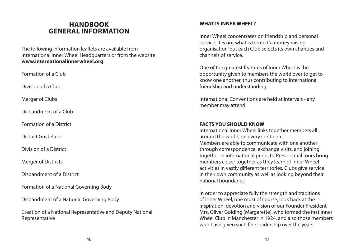# **HANDBOOK GENERAL INFORMATION**

The following information leaflets are available from International Inner Wheel Headquarters or from the website **www.internationalinnerwheel.org**

Formation of a Club

Division of a Club

Merger of Clubs

Disbandment of a Club

Formation of a District

District Guidelines

Division of a District

Merger of Districts

Disbandment of a District

Formation of a National Governing Body

Disbandment of a National Governing Body

Creation of a National Representative and Deputy National Representative

#### **WHAT IS INNER WHEEL?**

Inner Wheel concentrates on friendship and personal service. It is not what is termed 'a money raising organisation' but each Club selects its own charities and channels of service.

One of the greatest features of Inner Wheel is the opportunity given to members the world over to get to know one another, thus contributing to international friendship and understanding.

International Conventions are held at intervals - any member may attend.

#### **FACTS YOU SHOULD KNOW**

International Inner Wheel links together members all around the world, on every continent. Members are able to communicate with one another through correspondence, exchange visits, and joining together in international projects. Presidential tours bring members closer together as they learn of Inner Wheel activities in vastly different territories. Clubs give service in their own community as well as looking beyond their national boundaries.

In order to appreciate fully the strength and traditions of Inner Wheel, one must of course, look back at the inspiration, devotion and vision of our Founder President Mrs. Oliver Golding (Margarette), who formed the first Inner Wheel Club in Manchester in 1924, and also those members who have given such fine leadership over the years.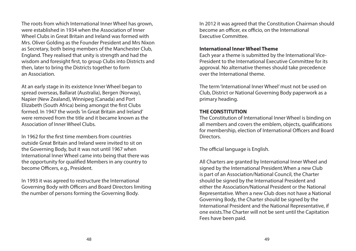The roots from which International Inner Wheel has grown, were established in 1934 when the Association of Inner Wheel Clubs in Great Britain and Ireland was formed with Mrs. Oliver Golding as the Founder President and Mrs Nixon as Secretary, both being members of the Manchester Club, England. They realised that unity is strength and had the wisdom and foresight first, to group Clubs into Districts and then, later to bring the Districts together to form an Association.

At an early stage in its existence Inner Wheel began to spread overseas, Ballarat (Australia), Bergen (Norway), Napier (New Zealand), Winnipeg (Canada) and Port Elizabeth (South Africa) being amongst the first Clubs formed. In 1947 the words 'in Great Britain and Ireland' were removed from the title and it became known as the Association of Inner Wheel Clubs.

In 1962 for the first time members from countries outside Great Britain and Ireland were invited to sit on the Governing Body, but it was not until 1967 when International Inner Wheel came into being that there was the opportunity for qualified Members in any country to become Officers, e.g., President.

In 1993 it was agreed to restructure the International Governing Body with Officers and Board Directors limiting the number of persons forming the Governing Body.

In 2012 it was agreed that the Constitution Chairman should become an officer, ex officio, on the International Executive Committee.

#### **International Inner Wheel Theme**

Each year a theme is submitted by the International Vice-President to the International Executive Committee for its approval. No alternative themes should take precedence over the International theme.

The term 'International Inner Wheel' must not be used on Club, District or National Governing Body paperwork as a primary heading.

#### **THE CONSTITUTION**

The Constitution of International Inner Wheel is binding on all members and covers the emblem, objects, qualifications for membership, election of International Officers and Board **Directors** 

The official language is English.

All Charters are granted by International Inner Wheel and signed by the International President.When a new Club is part of an Association/National Council, the Charter should be signed by the International President and either the Association/National President or the National Representative. When a new Club does not have a National Governing Body, the Charter should be signed by the International President and the National Representative, if one exists.The Charter will not be sent until the Capitation Fees have been paid.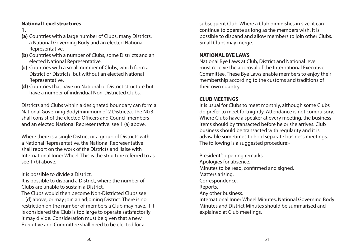### **National Level structures**

- **1.**
- **(a)** Countries with a large number of Clubs, many Districts, a National Governing Body and an elected National Representative.
- **(b)** Countries with a number of Clubs, some Districts and an elected National Representative.
- **(c)** Countries with a small number of Clubs, which form a District or Districts, but without an elected National Representative.
- **(d)** Countries that have no National or District structure but have a number of individual Non-Districted Clubs.

Districts and Clubs within a designated boundary can form a National Governing Body(minimum of 2 Districts). The NGB shall consist of the elected Officers and Council members and an elected National Representative. see 1 (a) above.

Where there is a single District or a group of Districts with a National Representative, the National Representative shall report on the work of the Districts and liaise with International Inner Wheel. This is the structure referred to as see 1 (b) above.

It is possible to divide a District.

It is possible to disband a District, where the number of Clubs are unable to sustain a District. The Clubs would then become Non-Districted Clubs see 1 (d) above, or may join an adjoining District. There is no restriction on the number of members a Club may have. If it is considered the Club is too large to operate satisfactorily it may divide. Consideration must be given that a new Executive and Committee shall need to be elected for a

subsequent Club. Where a Club diminishes in size, it can continue to operate as long as the members wish. It is possible to disband and allow members to join other Clubs. Small Clubs may merge.

#### **NATIONAL BYE LAWS**

National Bye Laws at Club, District and National level must receive the approval of the International Executive Committee. These Bye Laws enable members to enjoy their membership according to the customs and traditions of their own country.

# **CLUB MEETINGS**

It is usual for Clubs to meet monthly, although some Clubs do prefer to meet fortnightly. Attendance is not compulsory. Where Clubs have a speaker at every meeting, the business items should by transacted before he or she arrives. Club business should be transacted with regularity and it is advisable sometimes to hold separate business meetings. The following is a suggested procedure:-

President's opening remarks Apologies for absence. Minutes to be read, confirmed and signed. Matters arising. Correspondence. Reports. Any other business. International Inner Wheel Minutes, National Governing Body Minutes and District Minutes should be summarised and explained at Club meetings.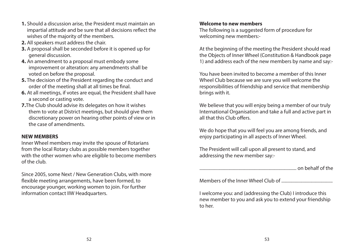- **1.** Should a discussion arise, the President must maintain an impartial attitude and be sure that all decisions reflect the wishes of the majority of the members.
- **2.** All speakers must address the chair.
- **3.** A proposal shall be seconded before it is opened up for general discussion.
- **4.** An amendment to a proposal must embody some improvement or alteration: any amendments shall be voted on before the proposal.
- **5.** The decision of the President regarding the conduct and order of the meeting shall at all times be final.
- **6.** At all meetings, if votes are equal, the President shall have a second or casting vote.
- **7.**The Club should advise its delegates on how it wishes them to vote at District meetings, but should give them discretionary power on hearing other points of view or in the case of amendments.

### **NEW MEMBERS**

Inner Wheel members may invite the spouse of Rotarians from the local Rotary clubs as possible members together with the other women who are eligible to become members of the club.

Since 2005, some Next / New Generation Clubs, with more flexible meeting arrangements, have been formed, to encourage younger, working women to join. For further information contact IIW Headquarters.

#### **Welcome to new members**

The following is a suggested form of procedure for welcoming new members:-

At the beginning of the meeting the President should read the Objects of Inner Wheel (Constitution & Handbook page 1) and address each of the new members by name and say:-

You have been invited to become a member of this Inner Wheel Club because we are sure you will welcome the responsibilities of friendship and service that membership brings with it.

We believe that you will enjoy being a member of our truly International Organisation and take a full and active part in all that this Club offers.

We do hope that you will feel you are among friends, and enjoy participating in all aspects of Inner Wheel.

The President will call upon all present to stand, and addressing the new member say:-

....................................................................................... on behalf of the

Members of the Inner Wheel Club of ..............................................

I welcome you: and (addressing the Club) I introduce this new member to you and ask you to extend your friendship to her.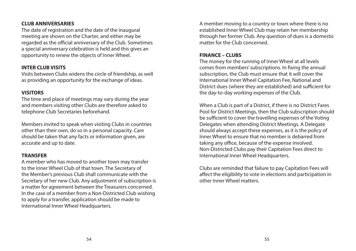#### **CLUB ANNIVERSARIES**

The date of registration and the date of the inaugural meeting are shown on the Charter, and either may be regarded as the official anniversary of the Club. Sometimes a special anniversary celebration is held and this gives an opportunity to renew the objects of Inner Wheel.

### **INTER CLUB VISITS**

Visits between Clubs widens the circle of friendship, as well as providing an opportunity for the exchange of ideas.

# **VISITORS**

The time and place of meetings may vary during the year and members visiting other Clubs are therefore asked to telephone Club Secretaries beforehand.

Members invited to speak when visiting Clubs in countries other than their own, do so in a personal capacity. Care should be taken that any facts or information given, are accurate and up to date.

### **TRANSFER**

A member who has moved to another town may transfer to the Inner Wheel Club of that town. The Secretary of the Member's previous Club shall communicate with the Secretary of her new Club. Any adjustment of subscription is a matter for agreement between the Treasurers concerned. In the case of a member from a Non-Districted Club wishing to apply for a transfer, application should be made to International Inner Wheel Headquarters.

A member moving to a country or town where there is no established Inner Wheel Club may retain her membership through her former Club. Any question of dues is a domestic matter for the Club concerned.

# **FINANCE – CLUBS**

The money for the running of Inner Wheel at all levels comes from members' subscriptions. In fixing the annual subscription, the Club must ensure that it will cover the International Inner Wheel Capitation Fee, National and District dues (where they are established) and sufficient for the day-to-day working expenses of the Club.

When a Club is part of a District, if there is no District Fares Pool for District Meetings, then the Club subscription should be sufficient to cover the travelling expenses of the Voting Delegates when attending District Meetings. A Delegate should always accept these expenses, as it is the policy of Inner Wheel to ensure that no member is debarred from taking any office, because of the expense involved. Non-Districted Clubs pay their Capitation Fees direct to International Inner Wheel Headquarters.

Clubs are reminded that failure to pay Capitation Fees will affect the eligibility to vote in elections and participation in other Inner Wheel matters.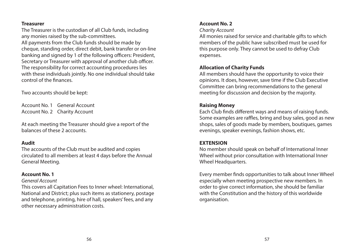#### **Treasurer**

The Treasurer is the custodian of all Club funds, including any monies raised by the sub-committees. All payments from the Club funds should be made by cheque, standing order, direct debit, bank transfer or on-line banking and signed by 1 of the following officers: President, Secretary or Treasurer with approval of another club officer. The responsibility for correct accounting procedures lies with these individuals jointly. No one individual should take control of the finances.

Two accounts should be kept:

Account No. 1 General Account Account No. 2 Charity Account

At each meeting the Treasurer should give a report of the balances of these 2 accounts.

### **Audit**

The accounts of the Club must be audited and copies circulated to all members at least 4 days before the Annual General Meeting.

# **Account No. 1**

#### *General Account*

This covers all Capitation Fees to Inner wheel: International, National and District; plus such items as stationery, postage and telephone, printing, hire of hall, speakers' fees, and any other necessary administration costs.

# **Account No. 2**

#### *Charity Account*

All monies raised for service and charitable gifts to which members of the public have subscribed must be used for this purpose only. They cannot be used to defray Club expenses.

# **Allocation of Charity Funds**

All members should have the opportunity to voice their opinions. It does, however, save time if the Club Executive Committee can bring recommendations to the general meeting for discussion and decision by the majority.

# **Raising Money**

Each Club finds different ways and means of raising funds. Some examples are raffles, bring and buy sales, good as new shops, sales of goods made by members, boutiques, games evenings, speaker evenings, fashion shows, etc.

### **EXTENSION**

No member should speak on behalf of International Inner Wheel without prior consultation with International Inner Wheel Headquarters.

Every member finds opportunities to talk about Inner Wheel especially when meeting prospective new members. In order to give correct information, she should be familiar with the Constitution and the history of this worldwide organisation.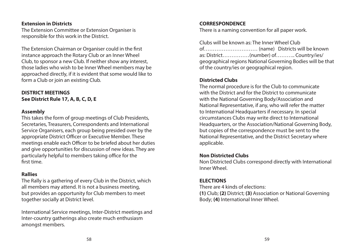#### **Extension in Districts**

The Extension Committee or Extension Organiser is responsible for this work in the District.

The Extension Chairman or Organiser could in the first instance approach the Rotary Club or an Inner Wheel Club, to sponsor a new Club. If neither show any interest, those ladies who wish to be Inner Wheel members may be approached directly, if it is evident that some would like to form a Club or join an existing Club.

# **DISTRICT MEETINGS See District Rule 17, A, B, C, D, E**

#### **Assembly**

This takes the form of group meetings of Club Presidents, Secretaries, Treasurers, Correspondents and International Service Organisers, each group being presided over by the appropriate District Officer or Executive Member. These meetings enable each Officer to be briefed about her duties and give opportunities for discussion of new ideas. They are particularly helpful to members taking office for the first time.

#### **Rallies**

The Rally is a gathering of every Club in the District, which all members may attend. It is not a business meeting, but provides an opportunity for Club members to meet together socially at District level.

International Service meetings, Inter-District meetings and Inter-country gatherings also create much enthusiasm amongst members.

#### **CORRESPONDENCE**

There is a naming convention for all paper work.

Clubs will be known as: The Inner Wheel Club of………………………… (name) Districts will be known as: District……………(number) of……….. Country/ies/ geographical regions National Governing Bodies will be that of the country/ies or geographical region.

# **Districted Clubs**

The normal procedure is for the Club to communicate with the District and for the District to communicate with the National Governing Body/Association and National Representative, if any, who will refer the matter to International Headquarters if necessary. In special circumstances Clubs may write direct to International Headquarters, or the Association/National Governing Body, but copies of the correspondence must be sent to the National Representative, and the District Secretary where applicable.

#### **Non Districted Clubs**

Non Districted Clubs correspond directly with International Inner Wheel.

### **ELECTIONS**

There are 4 kinds of elections: **(1)** Club; **(2)** District; **(3)** Association or National Governing Body; **(4)** International Inner Wheel.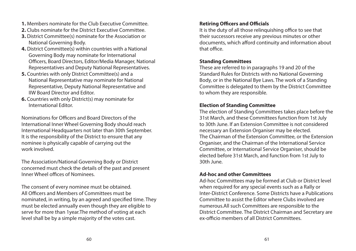- **1.** Members nominate for the Club Executive Committee.
- **2.** Clubs nominate for the District Executive Committee.
- **3.** District Committee(s) nominate for the Association or National Governing Body.
- **4.** District Committee(s) within countries with a National Governing Body may nominate for International Officers, Board Directors, Editor/Media Manager, National Representatives and Deputy National Representatives.
- **5.** Countries with only District Committee(s) and a National Representative may nominate for National Representative, Deputy National Representative and IIW Board Director and Editor.
- **6.** Countries with only District(s) may nominate for International Editor.

Nominations for Officers and Board Directors of the International Inner Wheel Governing Body should reach International Headquarters not later than 30th September. It is the responsibility of the District to ensure that any nominee is physically capable of carrying out the work involved.

The Association/National Governing Body or District concerned must check the details of the past and present Inner Wheel offices of Nominees.

The consent of every nominee must be obtained. All Officers and Members of Committees must be nominated, in writing, by an agreed and specified time. They must be elected annually even though they are eligible to serve for more than 1year.The method of voting at each level shall be by a simple majority of the votes cast.

# **Retiring Officers and Officials**

It is the duty of all those relinquishing office to see that their successors receive any previous minutes or other documents, which afford continuity and information about that office.

#### **Standing Committees**

These are referred to in paragraphs 19 and 20 of the Standard Rules for Districts with no National Governing Body, or in the National Bye Laws. The work of a Standing Committee is delegated to them by the District Committee to whom they are responsible.

#### **Election of Standing Committee**

The election of Standing Committees takes place before the 31st March, and these Committees function from 1st July to 30th June. If an Extension Committee is not considered necessary an Extension Organiser may be elected. The Chairman of the Extension Committee, or the Extension Organiser, and the Chairman of the International Service Committee, or International Service Organiser, should be elected before 31st March, and function from 1st July to 30th June.

#### **Ad-hoc and other Committees**

Ad-hoc Committees may be formed at Club or District level when required for any special events such as a Rally or Inter-District Conference. Some Districts have a Publications Committee to assist the Editor where Clubs involved are numerous.All such Committees are responsible to the District Committee. The District Chairman and Secretary are ex-officio members of all District Committees.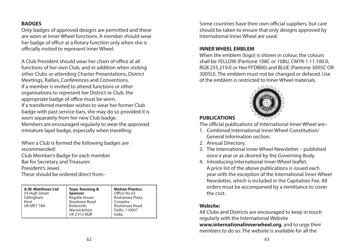### **BADGES**

Only badges of approved designs are permitted and these are worn at Inner Wheel functions. A member should wear her badge of office at a Rotary function only when she is officially invited to represent Inner Wheel.

A Club President should wear her chain of office at all functions of her own Club, and in addition when visiting other Clubs or attending Charter Presentations, District Meetings, Rallies, Conferences and Conventions. If a member is invited to attend functions or other organisations to represent her District or Club, the appropriate badge of office must be worn. If a transferred member wishes to wear her former Club badge with past service bars, she may do so provided it is worn separately from her new Club badge. Members are encouraged regularly to wear the approved miniature lapel badge, especially when travelling.

When a Club is formed the following badges are recommended:

Club Member's Badge for each member.

Bar for Secretary and Treasurer.

President's Jewel.

These should be ordered direct from:-

| Warwickshire<br>Delhi, 110007<br><b>UK CV12 8OR</b><br>India |
|--------------------------------------------------------------|
|--------------------------------------------------------------|

Some countries have their own official suppliers, but care should be taken to ensure that only designs approved by International Inner Wheel are used.

#### **INNER WHEEL EMBLEM**

When the emblem (logo) is shown in colour, the colours shall be YELLOW (Pantone 108C or 108U, CMYK 1.11.100.0, RGB 255.219.0 or Hex FFDB00) and BLUE (Pantone 3005C OR 3005U). The emblem must not be changed or defaced. Use of the emblem is restricted to Inner Wheel materials.



# **PUBLICATIONS**

The official publications of International Inner Wheel are:-

- 1. Combined International Inner Wheel Constitution/ General Information section.
- 2. Annual Directory.
- 3. The International Inner Wheel Newsletter published once a year or as desired by the Governing Body.
- 4. Introducing International Inner Wheel leaflet. A price list of the above publications is issued each year with the exception of the International Inner Wheel Newsletter, which is included in the Capitation Fee. All orders must be accompanied by a remittance to cover the cost.

# **Website:**

All Clubs and Districts are encouraged to keep in touch regularly with the International Website **www.internationalinnerwheel.org**, and to urge their members to do so. The website is available for all the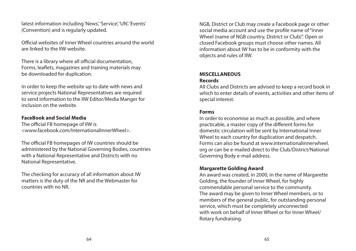latest information including 'News', 'Service', 'UN', 'Events' (Convention) and is regularly updated.

Official websites of Inner Wheel countries around the world are linked to the IIW website.

There is a library where all official documentation, Forms, leaflets, magazines and training materials may be downloaded for duplication.

In order to keep the website up to date with news and service projects National Representatives are required to send information to the IIW Editor/Media Manger for inclusion on the website.

#### **FaceBook and Social Media**

The official FB homepage of IIW is <www.facebook.com/InternationalInnerWheel>.

The official FB homepages of IW countries should be administered by the National Governing Bodies, countries with a National Representative and Districts with no National Representative.

The checking for accuracy of all information about IW matters is the duty of the NR and the Webmaster for countries with no NR.

NGB, District or Club may create a Facebook page or other social media account and use the profile name of "Inner Wheel (name of NGB country, District or Club)". Open or closed Facebook groups must choose other names. All information about IW has to be in conformity with the objects and rules of IIW.

#### **MISCELLANEOUS Records**

All Clubs and Districts are advised to keep a record book in which to enter details of events, activities and other items of special interest.

#### **Forms**

In order to economise as much as possible, and where practicable, a master copy of the different forms for domestic circulation will be sent by International Inner Wheel to each country for duplication and despatch. Forms can also be found at www.internationalinnerwheel. org or can be e-mailed direct to the Club/District/National Governing Body e-mail address.

#### **Margarette Golding Award**

An award was created, in 2000, in the name of Margarette Golding, the founder of Inner Wheel, for highly commendable personal service to the community. The award may be given to Inner Wheel members, or to members of the general public, for outstanding personal service, which must be completely unconnected with work on behalf of Inner Wheel or for Inner Wheel/ Rotary fundraising.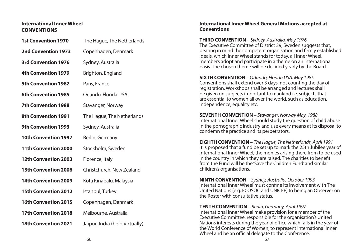#### **International Inner Wheel CONVENTIONS**

| The Hague, The Netherlands      |  |
|---------------------------------|--|
| Copenhagen, Denmark             |  |
| Sydney, Australia               |  |
| Brighton, England               |  |
| Paris, France                   |  |
| Orlando, Florida USA            |  |
| Stavanger, Norway               |  |
| The Hague, The Netherlands      |  |
| Sydney, Australia               |  |
| Berlin, Germany                 |  |
| Stockholm, Sweden               |  |
| Florence, Italy                 |  |
| Christchurch, New Zealand       |  |
| Kota Kinabalu, Malaysia         |  |
| Istanbul, Turkey                |  |
| Copenhagen, Denmark             |  |
| Melbourne, Australia            |  |
| Jaipur, India (held virtually). |  |
|                                 |  |

#### **International Inner Wheel General Motions accepted at Conventions**

**THIRD CONVENTION** *– Sydney, Australia, May 1976* The Executive Committee of District 39, Sweden suggests that, bearing in mind the competent organisation and firmly established ideals, which Inner Wheel stands for today, all Inner Wheel, members adopt and participate in a theme on an International basis. The chosen theme will be decided yearly by the Board.

**SIXTH CONVENTION** *– Orlando, Florida USA, May 1985* Conventions shall extend over 3 days, not counting the day of registration. Workshops shall be arranged and lectures shall be given on subjects important to mankind i.e. subjects that are essential to women all over the world, such as education, independence, equality etc.

**SEVENTH CONVENTION** *– Stavanger, Norway May, 1988* International Inner Wheel should study the question of child abuse in the pornographic industry and use every means at its disposal to condemn the practice and its perpetrators.

**EIGHTH CONVENTION** – *The Hague, The Netherlands, April 1991* It is proposed that a fund be set up to mark the 25th Jubilee year of International Inner Wheel, the monies arising there from to be used in the country in which they are raised. The charities to benefit from the Fund will be the 'Save the Children Fund' and similar children's organisations.

**NINTH CONVENTION** – *Sydney, Australia, October 1993*  International Inner Wheel must confine its involvement with The United Nations (e.g. ECOSOC and UNICEF) to being an Observer on the Roster with consultative status.

**TENTH CONVENTION** *– Berlin, Germany, April 1997* International Inner Wheel make provision for a member of the Executive Committee, responsible for the organisation's United Nations interests during the year of office which falls in the year of the World Conference of Women, to represent International Inner Wheel and be an official delegate to the Conference.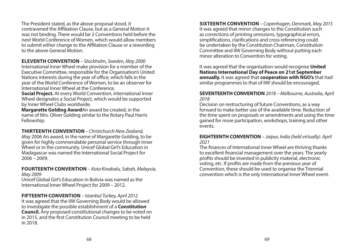The President stated, as the above proposal stood, it contravened the Affiliation Clause, but as a General Motion it was not binding. There would be 2 Conventions held before the next World Conference of Women, which would allow members to submit either change to the Affiliation Clause or a rewording to the above General Motion.

**ELEVENTH CONVENTION** *– Stockholm, Sweden, May 2000* International Inner Wheel make provision for a member of the Executive Committee, responsible for the Organisation's United Nations interests during the year of office, which falls in the year of the World Conference of Women, to be an observer for International Inner Wheel at the Conference.

**Social Project.** At every World Convention, International Inner Wheel designates a Social Project, which would be supported by Inner Wheel Clubs worldwide.

**Margarette Golding Award**An award be created, in the name of Mrs. Oliver Golding similar to the Rotary Paul Harris Fellowship.

**THIRTEENTH CONVENTION** *– Christchurch New Zealand, May* 2006 An award, in the name of Margarette Golding, to be given for highly commendable personal service through Inner Wheel or in the community. Unicef Global Girl's Education in Madagascar was named the International Social Project for 2006 – 2009.

**FOURTEENTH CONVENTION** *– Kota Kinabalu, Sabah, Malaysia, May 2009*

Unicef Global Girl's Education in Bolivia was named as the International Inner Wheel Project for 2009 – 2012.

**FIFTEENTH CONVENTION** *– Istanbul Turkey, April 2012* It was agreed that the IIW Governing Body would be allowed to investigate the possible establishment of a **Constitution Council.** Any proposed constitutional changes to be voted on in 2015, and the first Constitution Council meeting to be held in 2018.

**SIXTEENTH CONVENTION** *– Copenhagen, Denmark, May 2015* It was agreed that minor changes to the Constitution such as corrections of printing omissions, typographical errors, simplifications, clarifications and cross referencing could be undertaken by the Constitution Chairman, Constitution Committee and IIW Governing Body without putting each minor alteration to Convention for voting.

It was agreed that the organisation would recognise **United Nations International Day of Peace on 21st September annually.** It was agreed that **cooperation with NGO's** that had similar programmes to that of IIW should be encouraged.

#### **SEVENTEENTH CONVENTION** *2018 – Melbourne, Australia, April 2018*

Decision on restructuring of future Conventions, as a way forward to make better use of the available time. Reduction of the time spent on proposals or amendments and using the time gained for more participation, workshops, training and other events.

#### **EIGHTEENTH CONVENTION** *– Jaipur, India (held virtually). April 2021*

The finances of International Inner Wheel are thriving thanks to excellent financial management over the years. The yearly profits should be invested in publicity material, electronic voting, etc. If profits are made from the previous year of Convention, these should be used to organise the Triennial convention which is the only International Inner Wheel event.